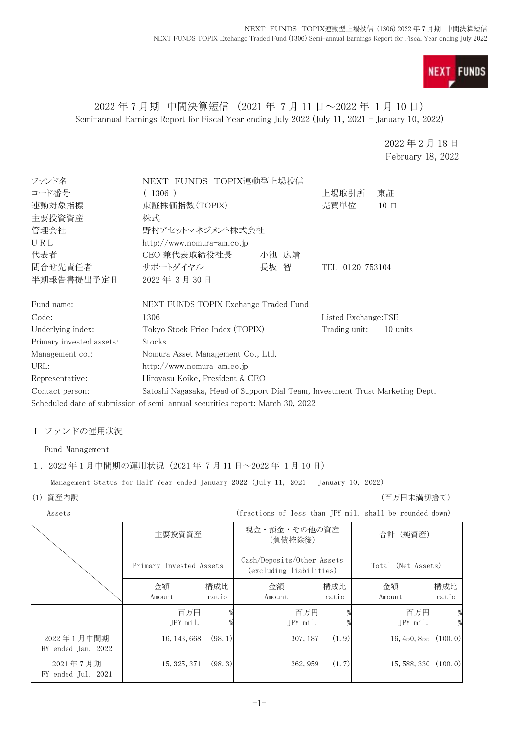

## 2022 年 7 月期 中間決算短信 (2021 年 7 月 11 日~2022 年 1 月 10 日) Semi-annual Earnings Report for Fiscal Year ending July 2022 (July 11, 2021 - January 10, 2022)

2022 年 2 月 18 日 February 18, 2022

| ファンド名                    | NEXT FUNDS TOPIX連動型上場投信                                                       |       |                     |          |
|--------------------------|-------------------------------------------------------------------------------|-------|---------------------|----------|
| コード番号                    | (1306)                                                                        |       |                     |          |
| 連動対象指標                   | 東証株価指数(TOPIX)                                                                 |       |                     |          |
| 主要投資資産                   | 株式                                                                            |       |                     |          |
| 管理会社                     | 野村アセットマネジメント株式会社                                                              |       |                     |          |
| URL                      | http://www.nomura-am.co.jp                                                    |       |                     |          |
| 代表者                      | CEO 兼代表取締役社長                                                                  | 小池 広靖 |                     |          |
| 問合せ先責任者                  | サポートダイヤル                                                                      | 長坂 智  | TEL 0120-753104     |          |
| 半期報告書提出予定日               | 2022年3月30日                                                                    |       |                     |          |
| Fund name:               | NEXT FUNDS TOPIX Exchange Traded Fund                                         |       |                     |          |
| Code:                    | 1306                                                                          |       | Listed Exchange:TSE |          |
| Underlying index:        | Tokyo Stock Price Index (TOPIX)                                               |       | Trading unit:       | 10 units |
| Primary invested assets: | Stocks                                                                        |       |                     |          |
| Management co.:          | Nomura Asset Management Co., Ltd.                                             |       |                     |          |
| URL:                     | http://www.nomura-am.co.jp                                                    |       |                     |          |
| Representative:          | Hiroyasu Koike, President & CEO                                               |       |                     |          |
| Contact person:          | Satoshi Nagasaka, Head of Support Dial Team, Investment Trust Marketing Dept. |       |                     |          |
|                          | Scheduled date of submission of semi-annual securities report: March 30, 2022 |       |                     |          |

# Ⅰ ファンドの運用状況

Fund Management

#### 1. 2022 年 1 月中間期の運用状況 (2021 年 7 月 11 日~2022 年 1 月 10 日)

Management Status for Half-Year ended January 2022 (July 11, 2021 - January 10, 2022)

(1) 資産内訳 (百万円未満切捨て)

|  | Assets                           |                                                                                  |              | (fractions of less than JPY mil. shall be rounded down) |              |                           |              |
|--|----------------------------------|----------------------------------------------------------------------------------|--------------|---------------------------------------------------------|--------------|---------------------------|--------------|
|  |                                  | 主要投資資産                                                                           |              | 現金・預金・その他の資産<br>(負債控除後)                                 |              | 合計 (純資産)                  |              |
|  |                                  | Cash/Deposits/Other Assets<br>Primary Invested Assets<br>(excluding liabilities) |              | Total (Net Assets)                                      |              |                           |              |
|  |                                  | 金額<br>Amount                                                                     | 構成比<br>ratio | 金額<br>Amount                                            | 構成比<br>ratio | 金額<br>Amount              | 構成比<br>ratio |
|  |                                  | 百万円<br>JPY mil.                                                                  |              | 百万円<br>JPY mil.                                         |              | 百万円<br>JPY mil.           | %<br>%       |
|  | 2022年1月中間期<br>HY ended Jan. 2022 | 16, 143, 668                                                                     | (98, 1)      | 307, 187                                                | (1, 9)       | $16, 450, 855$ $(100, 0)$ |              |
|  | 2021年7月期<br>FY ended Jul. 2021   | 15, 325, 371                                                                     | (98, 3)      | 262, 959                                                | (1.7)        | $15,588,330$ $(100.0)$    |              |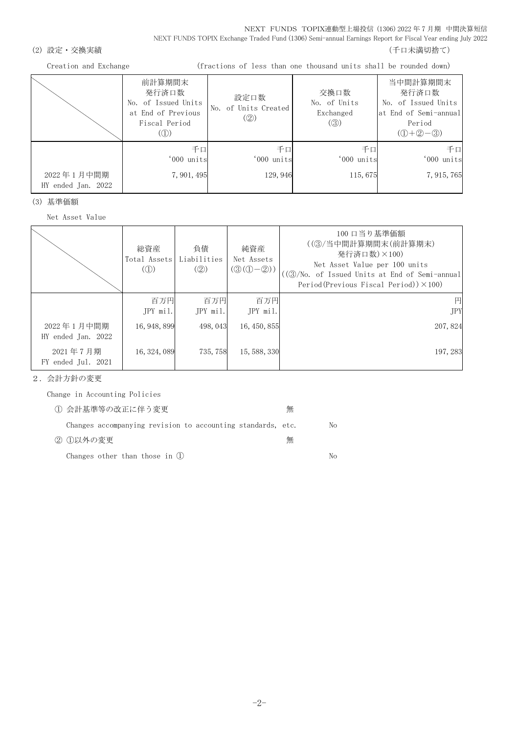NEXT FUNDS TOPIX連動型上場投信 (1306) 2022 年 7 月期 中間決算短信 NEXT FUNDS TOPIX Exchange Traded Fund (1306) Semi-annual Earnings Report for Fiscal Year ending July 2022

#### (2) 設定・交換実績 (2) またまま (1) これまでは こころには こうしょう にっぽん (千口未満切捨て)

Creation and Exchange (fractions of less than one thousand units shall be rounded down)

|                                  | 前計算期間末<br>発行済口数<br>No. of Issued Units<br>at End of Previous<br>Fiscal Period<br>((1)) | 設定口数<br>No. of Units Created<br>(Q) | 交換口数<br>No. of Units<br>Exchanged<br>(③) | 当中間計算期間末<br>発行済口数<br>No. of Issued Units<br>at End of Semi-annual<br>Period<br>$(①+②-③)$ |
|----------------------------------|----------------------------------------------------------------------------------------|-------------------------------------|------------------------------------------|------------------------------------------------------------------------------------------|
| 2022年1月中間期<br>HY ended Jan. 2022 | 千口<br>'000 units<br>7, 901, 495                                                        | 千口<br>'000 units<br>129, 946        | 千口<br>'000 units<br>115,675              | 千口<br>'000 units<br>7, 915, 765                                                          |

(3) 基準価額

Net Asset Value

|                                  | 総資産<br>Total Assets<br>$\mathcal{L}(\mathbb{D})$ | 負債<br>Liabilities<br>(Q) | 純資産<br>Net Assets<br>$(\mathcal{D}(\mathbb{O}-\mathbb{Q}))$ | 100 口当り基準価額<br>((③/当中間計算期間末(前計算期末)<br>発行済口数)×100)<br>Net Asset Value per 100 units<br>((③/No. of Issued Units at End of Semi-annual<br>Period(Previous Fiscal Period)) $\times$ 100) |
|----------------------------------|--------------------------------------------------|--------------------------|-------------------------------------------------------------|--------------------------------------------------------------------------------------------------------------------------------------------------------------------------------------|
|                                  | 百万円<br>JPY mil.                                  | 百万円<br>JPY mil.          | 百万円<br>JPY mil.                                             | 円<br><b>JPY</b>                                                                                                                                                                      |
| 2022年1月中間期<br>HY ended Jan. 2022 | 16, 948, 899                                     | 498, 043                 | 16, 450, 855                                                | 207, 824                                                                                                                                                                             |
| 2021年7月期<br>FY ended Jul. 2021   | 16, 324, 089                                     | 735, 758                 | 15, 588, 330                                                | 197, 283                                                                                                                                                                             |

2.会計方針の変更

Change in Accounting Policies

| 1 会計基準等の改正に伴う変更                                             | 無 |    |
|-------------------------------------------------------------|---|----|
| Changes accompanying revision to accounting standards, etc. |   | No |
| ② ①以外の変更                                                    | 無 |    |
| Changes other than those in $(1)$                           |   | Nο |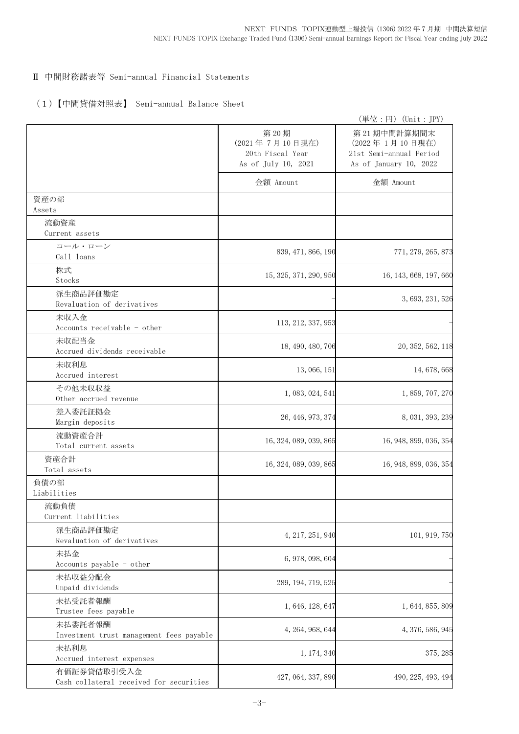#### Ⅱ 中間財務諸表等 Semi-annual Financial Statements

## (1)【中間貸借対照表】 Semi-annual Balance Sheet

|                                                        |                                                                   | (単位:円) (Unit:JPY)                                                                  |
|--------------------------------------------------------|-------------------------------------------------------------------|------------------------------------------------------------------------------------|
|                                                        | 第20期<br>(2021年7月10日現在)<br>20th Fiscal Year<br>As of July 10, 2021 | 第21期中間計算期間末<br>(2022年1月10日現在)<br>21st Semi-annual Period<br>As of January 10, 2022 |
|                                                        | 金額 Amount                                                         | 金額 Amount                                                                          |
| 資産の部<br>Assets                                         |                                                                   |                                                                                    |
| 流動資産<br>Current assets                                 |                                                                   |                                                                                    |
| コール・ローン<br>Call loans                                  | 839, 471, 866, 190                                                | 771, 279, 265, 873                                                                 |
| 株式<br>Stocks                                           | 15, 325, 371, 290, 950                                            | 16, 143, 668, 197, 660                                                             |
| 派生商品評価勘定<br>Revaluation of derivatives                 |                                                                   | 3, 693, 231, 526                                                                   |
| 未収入金<br>Accounts receivable - other                    | 113, 212, 337, 953                                                |                                                                                    |
| 未収配当金<br>Accrued dividends receivable                  | 18, 490, 480, 706                                                 | 20, 352, 562, 118                                                                  |
| 未収利息<br>Accrued interest                               | 13, 066, 151                                                      | 14, 678, 668                                                                       |
| その他未収収益<br>Other accrued revenue                       | 1, 083, 024, 541                                                  | 1, 859, 707, 270                                                                   |
| 差入委託証拠金<br>Margin deposits                             | 26, 446, 973, 374                                                 | 8, 031, 393, 239                                                                   |
| 流動資産合計<br>Total current assets                         | 16, 324, 089, 039, 865                                            | 16, 948, 899, 036, 354                                                             |
| 資産合計<br>Total assets                                   | 16, 324, 089, 039, 865                                            | 16, 948, 899, 036, 354                                                             |
| 負債の部<br>Liabilities                                    |                                                                   |                                                                                    |
| 流動負債<br>Current liabilities                            |                                                                   |                                                                                    |
| 派生商品評価勘定<br>Revaluation of derivatives                 | 4, 217, 251, 940                                                  | 101, 919, 750                                                                      |
| 未払金<br>Accounts payable - other                        | 6, 978, 098, 604                                                  |                                                                                    |
| 未払収益分配金<br>Unpaid dividends                            | 289, 194, 719, 525                                                |                                                                                    |
| 未払受託者報酬<br>Trustee fees payable                        | 1, 646, 128, 647                                                  | 1, 644, 855, 809                                                                   |
| 未払委託者報酬<br>Investment trust management fees payable    | 4, 264, 968, 644                                                  | 4, 376, 586, 945                                                                   |
| 未払利息<br>Accrued interest expenses                      | 1, 174, 340                                                       | 375, 285                                                                           |
| 有価証券貸借取引受入金<br>Cash collateral received for securities | 427, 064, 337, 890                                                | 490, 225, 493, 494                                                                 |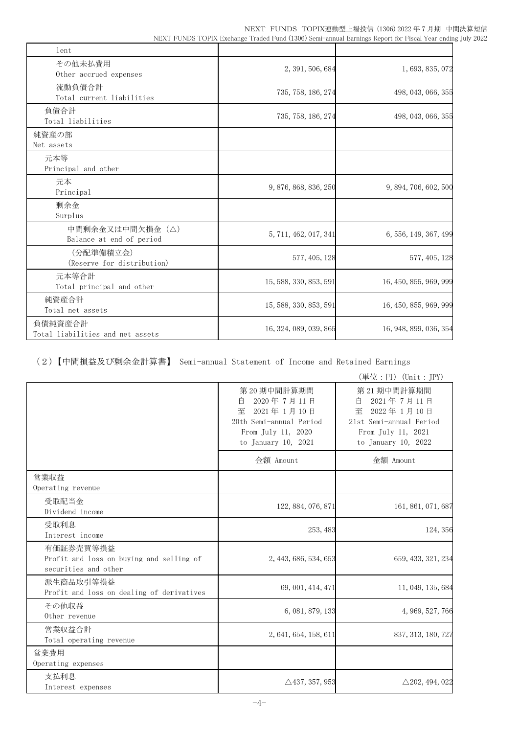NEXT FUNDS TOPIX連動型上場投信 (1306) 2022 年 7 月期 中間決算短信 NEXT FUNDS TOPIX Exchange Traded Fund (1306) Semi-annual Earnings Report for Fiscal Year ending July 2022

| lent                                        |                        |                        |
|---------------------------------------------|------------------------|------------------------|
| その他未払費用<br>Other accrued expenses           | 2, 391, 506, 684       | 1, 693, 835, 072       |
| 流動負債合計<br>Total current liabilities         | 735, 758, 186, 274     | 498, 043, 066, 355     |
| 負債合計<br>Total liabilities                   | 735, 758, 186, 274     | 498, 043, 066, 355     |
| 純資産の部<br>Net assets                         |                        |                        |
| 元本等<br>Principal and other                  |                        |                        |
| 元本<br>Principal                             | 9, 876, 868, 836, 250  | 9, 894, 706, 602, 500  |
| 剰余金<br>Surplus                              |                        |                        |
| 中間剰余金又は中間欠損金(△)<br>Balance at end of period | 5, 711, 462, 017, 341  | 6, 556, 149, 367, 499  |
| (分配準備積立金)<br>(Reserve for distribution)     | 577, 405, 128          | 577, 405, 128          |
| 元本等合計<br>Total principal and other          | 15, 588, 330, 853, 591 | 16, 450, 855, 969, 999 |
| 純資産合計<br>Total net assets                   | 15, 588, 330, 853, 591 | 16, 450, 855, 969, 999 |
| 負債純資産合計<br>Total liabilities and net assets | 16, 324, 089, 039, 865 | 16, 948, 899, 036, 354 |

(2)【中間損益及び剰余金計算書】 Semi-annual Statement of Income and Retained Earnings

(単位:円)(Unit:JPY)

|                                                                               |                                                                                                                              | $(1 + 1)^2$ . $(3)$ (city . $(1 + 1)^2$                                                                                     |
|-------------------------------------------------------------------------------|------------------------------------------------------------------------------------------------------------------------------|-----------------------------------------------------------------------------------------------------------------------------|
|                                                                               | 第 20 期中間計算期間<br>2020年7月11日<br>白<br>至<br>2021年 1月 10日<br>20th Semi-annual Period<br>From July 11, 2020<br>to January 10, 2021 | 第 21 期中間計算期間<br>2021年7月11日<br>自<br>至<br>2022年 1月10日<br>21st Semi-annual Period<br>From July 11, 2021<br>to January 10, 2022 |
|                                                                               | 金額 Amount                                                                                                                    | 金額 Amount                                                                                                                   |
| 営業収益<br>Operating revenue                                                     |                                                                                                                              |                                                                                                                             |
| 受取配当金<br>Dividend income                                                      | 122, 884, 076, 871                                                                                                           | 161, 861, 071, 687                                                                                                          |
| 受取利息<br>Interest income                                                       | 253, 483                                                                                                                     | 124, 356                                                                                                                    |
| 有価証券売買等損益<br>Profit and loss on buying and selling of<br>securities and other | 2, 443, 686, 534, 653                                                                                                        | 659, 433, 321, 234                                                                                                          |
| 派生商品取引等損益<br>Profit and loss on dealing of derivatives                        | 69, 001, 414, 471                                                                                                            | 11, 049, 135, 684                                                                                                           |
| その他収益<br>Other revenue                                                        | 6, 081, 879, 133                                                                                                             | 4, 969, 527, 766                                                                                                            |
| 営業収益合計<br>Total operating revenue                                             | 2, 641, 654, 158, 611                                                                                                        | 837, 313, 180, 727                                                                                                          |
| 営業費用<br>Operating expenses                                                    |                                                                                                                              |                                                                                                                             |
| 支払利息<br>Interest expenses                                                     | $\triangle$ 437, 357, 953                                                                                                    | $\triangle$ 202, 494, 022                                                                                                   |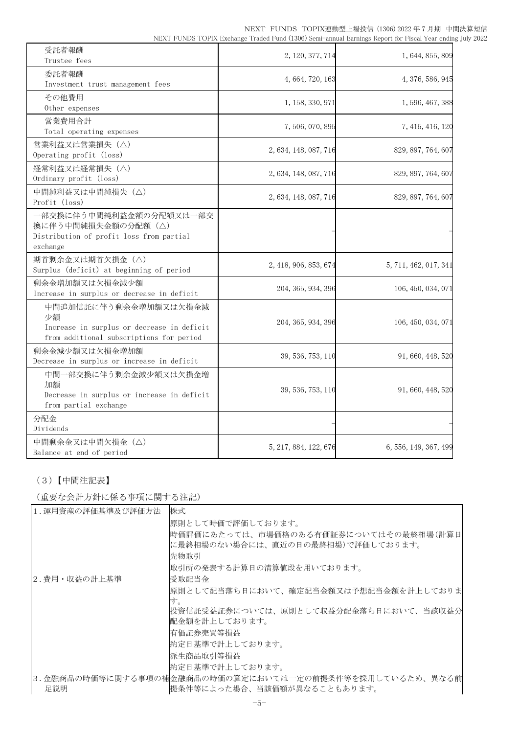| 受託者報酬<br>Trustee fees                                                                                                 | 2, 120, 377, 714      | 1, 644, 855, 809      |
|-----------------------------------------------------------------------------------------------------------------------|-----------------------|-----------------------|
| 委託者報酬<br>Investment trust management fees                                                                             | 4, 664, 720, 163      | 4, 376, 586, 945      |
| その他費用<br>Other expenses                                                                                               | 1, 158, 330, 971      | 1, 596, 467, 388      |
| 営業費用合計<br>Total operating expenses                                                                                    | 7,506,070,895         | 7, 415, 416, 120      |
| 営業利益又は営業損失 (△)<br>Operating profit (loss)                                                                             | 2, 634, 148, 087, 716 | 829, 897, 764, 607    |
| 経常利益又は経常損失(△)<br>Ordinary profit (loss)                                                                               | 2, 634, 148, 087, 716 | 829, 897, 764, 607    |
| 中間純利益又は中間純損失 (△)<br>Profit (loss)                                                                                     | 2, 634, 148, 087, 716 | 829, 897, 764, 607    |
| 一部交換に伴う中間純利益金額の分配額又は一部交<br>換に伴う中間純損失金額の分配額(△)<br>Distribution of profit loss from partial<br>exchange                 |                       |                       |
| 期首剰余金又は期首欠損金(△)<br>Surplus (deficit) at beginning of period                                                           | 2, 418, 906, 853, 674 | 5, 711, 462, 017, 341 |
| 剰余金増加額又は欠損金減少額<br>Increase in surplus or decrease in deficit                                                          | 204, 365, 934, 396    | 106, 450, 034, 071    |
| 中間追加信託に伴う剰余金増加額又は欠損金減<br>少額<br>Increase in surplus or decrease in deficit<br>from additional subscriptions for period | 204, 365, 934, 396    | 106, 450, 034, 071    |
| 剰余金減少額又は欠損金増加額<br>Decrease in surplus or increase in deficit                                                          | 39, 536, 753, 110     | 91, 660, 448, 520     |
| 中間一部交換に伴う剰余金減少額又は欠損金増<br>加額<br>Decrease in surplus or increase in deficit<br>from partial exchange                    | 39, 536, 753, 110     | 91, 660, 448, 520     |
| 分配金<br>Dividends                                                                                                      |                       |                       |
| 中間剰余金又は中間欠損金(△)<br>Balance at end of period                                                                           | 5, 217, 884, 122, 676 | 6, 556, 149, 367, 499 |

## (3)【中間注記表】

(重要な会計方針に係る事項に関する注記)

| 1. 運用資産の評価基準及び評価方法 | 株式                                                                           |
|--------------------|------------------------------------------------------------------------------|
|                    | 原則として時価で評価しております。                                                            |
|                    | 時価評価にあたっては、市場価格のある有価証券についてはその最終相場(計算日 <br> に最終相場のない場合には、直近の日の最終相場)で評価しております。 |
|                    | 先物取引                                                                         |
|                    | 取引所の発表する計算日の清算値段を用いております。                                                    |
| 2.費用・収益の計上基準       | 受取配当金                                                                        |
|                    | 原則として配当落ち日において、確定配当金額又は予想配当金額を計上しておりま<br>す。                                  |
|                    | 投資信託受益証券については、原則として収益分配金落ち日において、当該収益分                                        |
|                    | 配金額を計上しております。                                                                |
|                    | 有価証券売買等損益                                                                    |
|                    | 約定日基準で計上しております。                                                              |
|                    | 派生商品取引等損益                                                                    |
|                    | 約定日基準で計上しております。                                                              |
|                    | 3.金融商品の時価等に関する事項の補金融商品の時価の算定においては一定の前提条件等を採用しているため、異なる前                      |
| 足説明                | 提条件等によった場合、当該価額が異なることもあります。                                                  |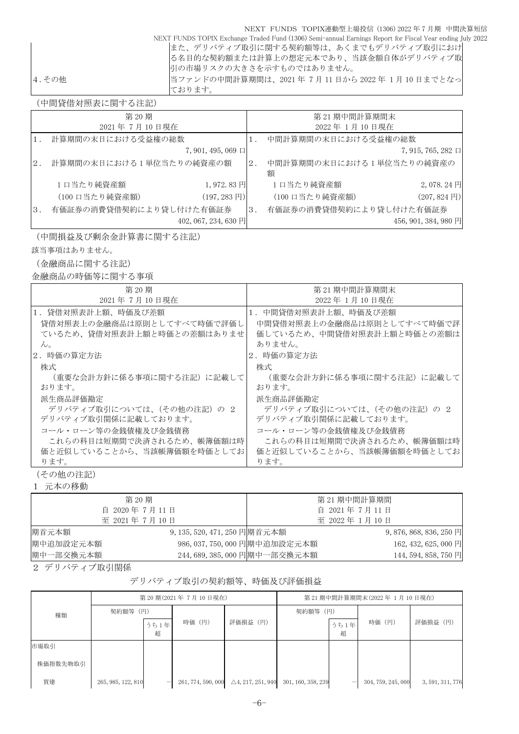| NEXT FUNDS TOPIX連動型上場投信 (1306) 2022 年 7 月期 中間決算短信                                                         |
|-----------------------------------------------------------------------------------------------------------|
| NEXT FUNDS TOPIX Exchange Traded Fund (1306) Semi-annual Earnings Report for Fiscal Year ending July 2022 |
| また、デリバティブ取引に関する契約額等は、あくまでもデリバティブ取引におけ                                                                     |
| る名目的な契約額または計算上の想定元本であり、当該金額自体がデリバティブ取                                                                     |
| 引の市場リスクの大きさを示すものではありません。                                                                                  |
| 当ファンドの中間計算期間は、2021年7月11日から2022年1月10日までとなっ<br> 4.その他                                                       |
| ております。                                                                                                    |

(中間貸借対照表に関する注記)

|                  | 第20期                    |                         |       | 第21期中間計算期間末                   |                         |
|------------------|-------------------------|-------------------------|-------|-------------------------------|-------------------------|
|                  | 2021年7月10日現在            |                         |       | 2022年1月10日現在                  |                         |
|                  | 計算期間の末日における受益権の総数       |                         |       | 中間計算期間の末日における受益権の総数           |                         |
|                  |                         | $7,901,495,069$ $\Box$  |       |                               | $7,915,765,282 \square$ |
| 2.               | 計算期間の末日における1単位当たりの純資産の額 |                         | $2$ . | 中間計算期間の末日における1単位当たりの純資産の<br>額 |                         |
|                  | 1日当たり純資産額               | 1,972.83円               |       | 1口当たり純資産額                     | 2,078.24円               |
|                  | (100 口当たり純資産額)          | $(197, 283 \,\boxplus)$ |       | (100 口当たり純資産額)                | $(207, 824 \text{ F})$  |
| $\overline{3}$ . | 有価証券の消費貸借契約により貸し付けた有価証券 |                         | 3.    | 有価証券の消費貸借契約により貸し付けた有価証券       |                         |
|                  |                         | 402, 067, 234, 630 円    |       |                               | 456, 901, 384, 980 円    |

(中間損益及び剰余金計算書に関する注記)

該当事項はありません。

(金融商品に関する注記)

金融商品の時価等に関する事項

| 第 20 期                     | 第 21 期中間計算期間末              |  |  |  |  |
|----------------------------|----------------------------|--|--|--|--|
| 2021年7月10日現在               | 2022年 1月 10日現在             |  |  |  |  |
| 1.貸借対照表計上額、時価及び差額          | 1.中間貸借対照表計上額、時価及び差額        |  |  |  |  |
| 貸借対照表上の金融商品は原則としてすべて時価で評価し | 中間貸借対照表上の金融商品は原則としてすべて時価で評 |  |  |  |  |
| ているため、貸借対照表計上額と時価との差額はありませ | 価しているため、中間貸借対照表計上額と時価との差額は |  |  |  |  |
| $\mathcal{W}_{\alpha}$     | ありません。                     |  |  |  |  |
| 2.時価の算定方法                  | 2.時価の算定方法                  |  |  |  |  |
| 株式                         | 株式                         |  |  |  |  |
| (重要な会計方針に係る事項に関する注記) に記載して | (重要な会計方針に係る事項に関する注記) に記載して |  |  |  |  |
| おります。                      | おります。                      |  |  |  |  |
| 派生商品評価勘定                   | 派生商品評価勘定                   |  |  |  |  |
| デリバティブ取引については、(その他の注記)の2   | デリバティブ取引については、(その他の注記) の 2 |  |  |  |  |
| デリバティブ取引関係に記載しております。       | デリバティブ取引関係に記載しております。       |  |  |  |  |
| コール・ローン等の金銭債権及び金銭債務        | コール・ローン等の金銭債権及び金銭債務        |  |  |  |  |
| これらの科目は短期間で決済されるため、帳簿価額は時  | これらの科目は短期間で決済されるため、帳簿価額は時  |  |  |  |  |
| 価と近似していることから、当該帳簿価額を時価としてお | 価と近似していることから、当該帳簿価額を時価としてお |  |  |  |  |
| ります。                       | ります。                       |  |  |  |  |

(その他の注記)

1 元本の移動

|           | 第 20 期                       |                               | 第 21 期中間計算期間                 |
|-----------|------------------------------|-------------------------------|------------------------------|
|           | 自 2020年7月11日                 |                               | 自 2021年7月11日                 |
|           | 至 2021年7月10日                 |                               | 至 2022年 1月10日                |
| 期首元本額     | 9, 135, 520, 471, 250 円期首元本額 |                               | 9, 876, 868, 836, 250 $\Box$ |
| 期中追加設定元本額 |                              | 986, 037, 750, 000 円期中追加設定元本額 | 162, 432, 625, 000 円         |
| 期中一部交換元本額 |                              | 244, 689, 385, 000 円期中一部交換元本額 | 144, 594, 858, 750 円         |

2 デリバティブ取引関係

## デリバティブ取引の契約額等、時価及び評価損益

|          | 第20期(2021年7月10日現在) |      |                    |                              | 第 21 期中間計算期間末(2022年 1月 10 日現在) |                          |                    |                  |
|----------|--------------------|------|--------------------|------------------------------|--------------------------------|--------------------------|--------------------|------------------|
| 種類       | 契約額等 (円)           |      |                    |                              | 契約額等 (円)                       |                          |                    |                  |
|          |                    | うち1年 | 時価 (円)             | 評価損益 (円)                     |                                | うち1年                     | 時価 (円)             | 評価損益 (円)         |
|          |                    | 超    |                    |                              |                                | 超                        |                    |                  |
| 市場取引     |                    |      |                    |                              |                                |                          |                    |                  |
| 株価指数先物取引 |                    |      |                    |                              |                                |                          |                    |                  |
| 買建       | 265, 985, 122, 810 |      | 261, 774, 590, 000 | $\triangle$ 4, 217, 251, 940 | 301, 160, 358, 239             | $\overline{\phantom{0}}$ | 304, 759, 245, 000 | 3, 591, 311, 776 |